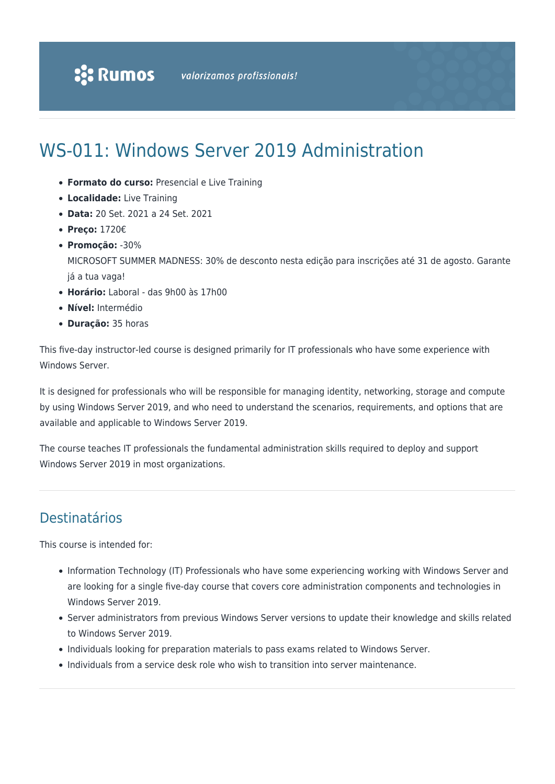# WS-011: Windows Server 2019 Administration

- **Formato do curso:** Presencial e Live Training
- **Localidade:** Live Training
- **Data:** 20 Set. 2021 a 24 Set. 2021
- **Preço:** 1720€
- **Promoção:** -30%

MICROSOFT SUMMER MADNESS: 30% de desconto nesta edição para inscrições até 31 de agosto. Garante já a tua vaga!

- **Horário:** Laboral das 9h00 às 17h00
- **Nível:** Intermédio
- **Duração:** 35 horas

This five-day instructor-led course is designed primarily for IT professionals who have some experience with Windows Server.

It is designed for professionals who will be responsible for managing identity, networking, storage and compute by using Windows Server 2019, and who need to understand the scenarios, requirements, and options that are available and applicable to Windows Server 2019.

The course teaches IT professionals the fundamental administration skills required to deploy and support Windows Server 2019 in most organizations.

## Destinatários

This course is intended for:

- Information Technology (IT) Professionals who have some experiencing working with Windows Server and are looking for a single five-day course that covers core administration components and technologies in Windows Server 2019.
- Server administrators from previous Windows Server versions to update their knowledge and skills related to Windows Server 2019.
- Individuals looking for preparation materials to pass exams related to Windows Server.
- Individuals from a service desk role who wish to transition into server maintenance.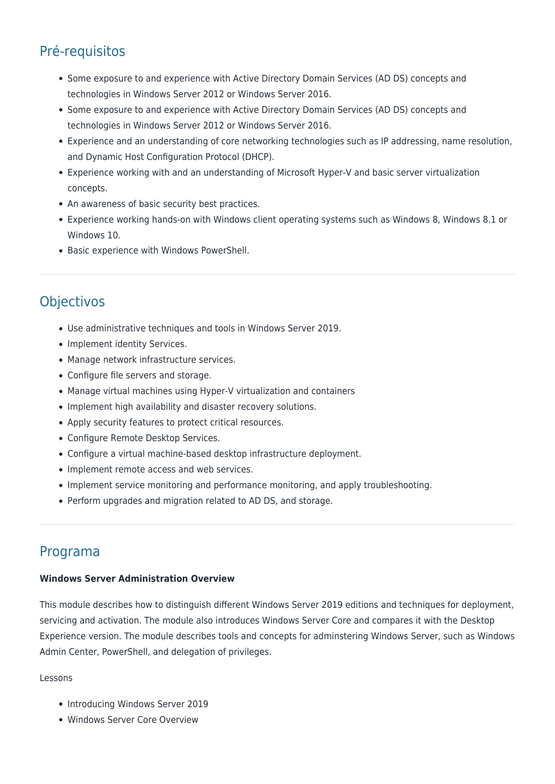## Pré-requisitos

- Some exposure to and experience with Active Directory Domain Services (AD DS) concepts and technologies in Windows Server 2012 or Windows Server 2016.
- Some exposure to and experience with Active Directory Domain Services (AD DS) concepts and technologies in Windows Server 2012 or Windows Server 2016.
- Experience and an understanding of core networking technologies such as IP addressing, name resolution, and Dynamic Host Configuration Protocol (DHCP).
- Experience working with and an understanding of Microsoft Hyper-V and basic server virtualization concepts.
- An awareness of basic security best practices.
- Experience working hands-on with Windows client operating systems such as Windows 8, Windows 8.1 or Windows 10.
- Basic experience with Windows PowerShell.

## **Objectivos**

- Use administrative techniques and tools in Windows Server 2019.
- Implement identity Services.
- Manage network infrastructure services.
- Configure file servers and storage.
- Manage virtual machines using Hyper-V virtualization and containers
- Implement high availability and disaster recovery solutions.
- Apply security features to protect critical resources.
- Configure Remote Desktop Services.
- Configure a virtual machine-based desktop infrastructure deployment.
- Implement remote access and web services.
- Implement service monitoring and performance monitoring, and apply troubleshooting.
- Perform upgrades and migration related to AD DS, and storage.

### Programa

#### **Windows Server Administration Overview**

This module describes how to distinguish different Windows Server 2019 editions and techniques for deployment, servicing and activation. The module also introduces Windows Server Core and compares it with the Desktop Experience version. The module describes tools and concepts for adminstering Windows Server, such as Windows Admin Center, PowerShell, and delegation of privileges.

#### Lessons

- Introducing Windows Server 2019
- Windows Server Core Overview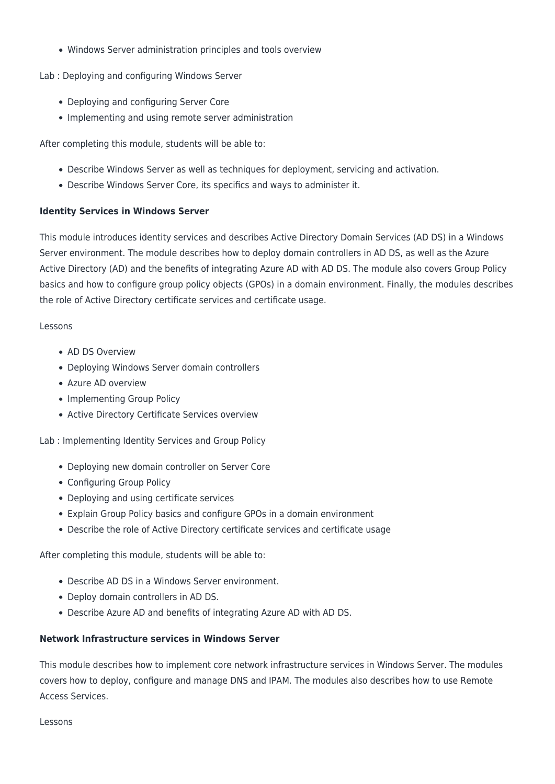Windows Server administration principles and tools overview

Lab : Deploying and configuring Windows Server

- Deploying and configuring Server Core
- Implementing and using remote server administration

After completing this module, students will be able to:

- Describe Windows Server as well as techniques for deployment, servicing and activation.
- Describe Windows Server Core, its specifics and ways to administer it.

#### **Identity Services in Windows Server**

This module introduces identity services and describes Active Directory Domain Services (AD DS) in a Windows Server environment. The module describes how to deploy domain controllers in AD DS, as well as the Azure Active Directory (AD) and the benefits of integrating Azure AD with AD DS. The module also covers Group Policy basics and how to configure group policy objects (GPOs) in a domain environment. Finally, the modules describes the role of Active Directory certificate services and certificate usage.

#### Lessons

- AD DS Overview
- Deploying Windows Server domain controllers
- Azure AD overview
- Implementing Group Policy
- Active Directory Certificate Services overview

Lab : Implementing Identity Services and Group Policy

- Deploying new domain controller on Server Core
- Configuring Group Policy
- Deploying and using certificate services
- Explain Group Policy basics and configure GPOs in a domain environment
- Describe the role of Active Directory certificate services and certificate usage

After completing this module, students will be able to:

- Describe AD DS in a Windows Server environment.
- Deploy domain controllers in AD DS.
- Describe Azure AD and benefits of integrating Azure AD with AD DS.

#### **Network Infrastructure services in Windows Server**

This module describes how to implement core network infrastructure services in Windows Server. The modules covers how to deploy, configure and manage DNS and IPAM. The modules also describes how to use Remote Access Services.

Lessons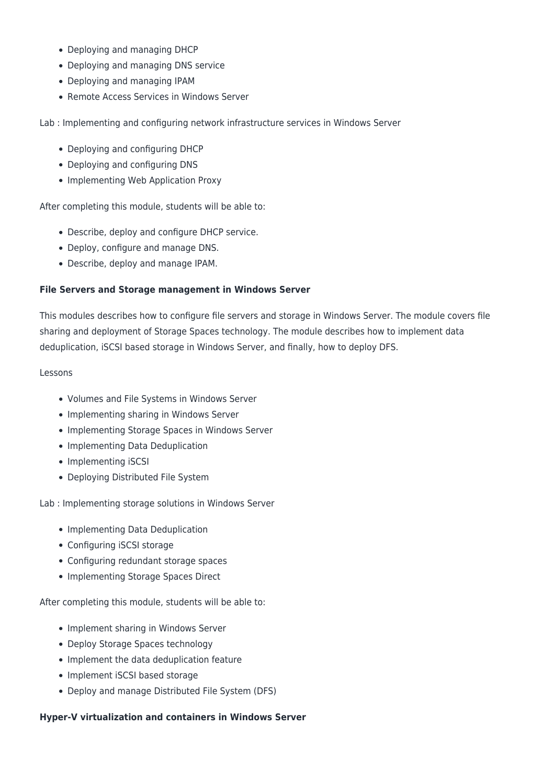- Deploying and managing DHCP
- Deploying and managing DNS service
- Deploying and managing IPAM
- Remote Access Services in Windows Server

Lab : Implementing and configuring network infrastructure services in Windows Server

- Deploying and configuring DHCP
- Deploying and configuring DNS
- Implementing Web Application Proxy

After completing this module, students will be able to:

- Describe, deploy and configure DHCP service.
- Deploy, configure and manage DNS.
- Describe, deploy and manage IPAM.

#### **File Servers and Storage management in Windows Server**

This modules describes how to configure file servers and storage in Windows Server. The module covers file sharing and deployment of Storage Spaces technology. The module describes how to implement data deduplication, iSCSI based storage in Windows Server, and finally, how to deploy DFS.

#### Lessons

- Volumes and File Systems in Windows Server
- Implementing sharing in Windows Server
- Implementing Storage Spaces in Windows Server
- Implementing Data Deduplication
- Implementing iSCSI
- Deploying Distributed File System

Lab : Implementing storage solutions in Windows Server

- Implementing Data Deduplication
- Configuring iSCSI storage
- Configuring redundant storage spaces
- Implementing Storage Spaces Direct

After completing this module, students will be able to:

- Implement sharing in Windows Server
- Deploy Storage Spaces technology
- Implement the data deduplication feature
- Implement iSCSI based storage
- Deploy and manage Distributed File System (DFS)

#### **Hyper-V virtualization and containers in Windows Server**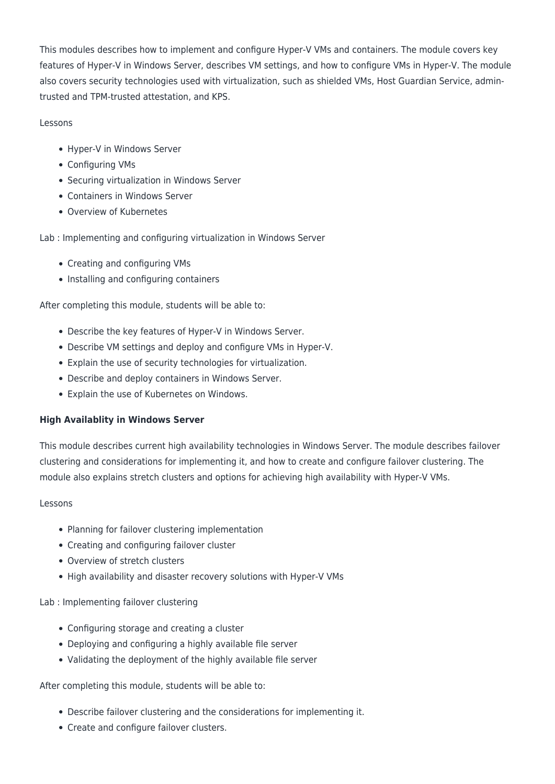This modules describes how to implement and configure Hyper-V VMs and containers. The module covers key features of Hyper-V in Windows Server, describes VM settings, and how to configure VMs in Hyper-V. The module also covers security technologies used with virtualization, such as shielded VMs, Host Guardian Service, admintrusted and TPM-trusted attestation, and KPS.

#### Lessons

- Hyper-V in Windows Server
- Configuring VMs
- Securing virtualization in Windows Server
- Containers in Windows Server
- Overview of Kubernetes

Lab : Implementing and configuring virtualization in Windows Server

- Creating and configuring VMs
- Installing and configuring containers

After completing this module, students will be able to:

- Describe the key features of Hyper-V in Windows Server.
- Describe VM settings and deploy and configure VMs in Hyper-V.
- Explain the use of security technologies for virtualization.
- Describe and deploy containers in Windows Server.
- Explain the use of Kubernetes on Windows.

#### **High Availablity in Windows Server**

This module describes current high availability technologies in Windows Server. The module describes failover clustering and considerations for implementing it, and how to create and configure failover clustering. The module also explains stretch clusters and options for achieving high availability with Hyper-V VMs.

#### Lessons

- Planning for failover clustering implementation
- Creating and configuring failover cluster
- Overview of stretch clusters
- High availability and disaster recovery solutions with Hyper-V VMs

Lab : Implementing failover clustering

- Configuring storage and creating a cluster
- Deploying and configuring a highly available file server
- Validating the deployment of the highly available file server

After completing this module, students will be able to:

- Describe failover clustering and the considerations for implementing it.
- Create and configure failover clusters.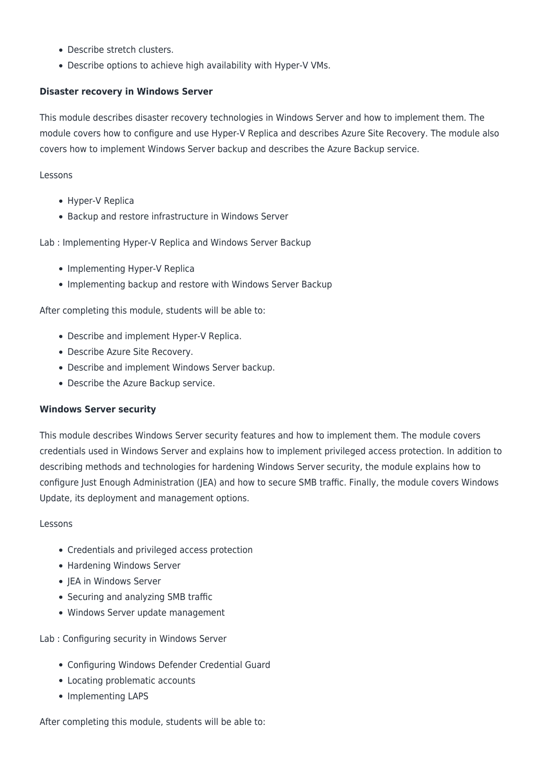- Describe stretch clusters.
- Describe options to achieve high availability with Hyper-V VMs.

#### **Disaster recovery in Windows Server**

This module describes disaster recovery technologies in Windows Server and how to implement them. The module covers how to configure and use Hyper-V Replica and describes Azure Site Recovery. The module also covers how to implement Windows Server backup and describes the Azure Backup service.

Lessons

- Hyper-V Replica
- Backup and restore infrastructure in Windows Server

Lab : Implementing Hyper-V Replica and Windows Server Backup

- Implementing Hyper-V Replica
- Implementing backup and restore with Windows Server Backup

After completing this module, students will be able to:

- Describe and implement Hyper-V Replica.
- Describe Azure Site Recovery.
- Describe and implement Windows Server backup.
- Describe the Azure Backup service.

#### **Windows Server security**

This module describes Windows Server security features and how to implement them. The module covers credentials used in Windows Server and explains how to implement privileged access protection. In addition to describing methods and technologies for hardening Windows Server security, the module explains how to configure Just Enough Administration (JEA) and how to secure SMB traffic. Finally, the module covers Windows Update, its deployment and management options.

#### Lessons

- Credentials and privileged access protection
- Hardening Windows Server
- IEA in Windows Server
- Securing and analyzing SMB traffic
- Windows Server update management

Lab : Configuring security in Windows Server

- Configuring Windows Defender Credential Guard
- Locating problematic accounts
- Implementing LAPS

After completing this module, students will be able to: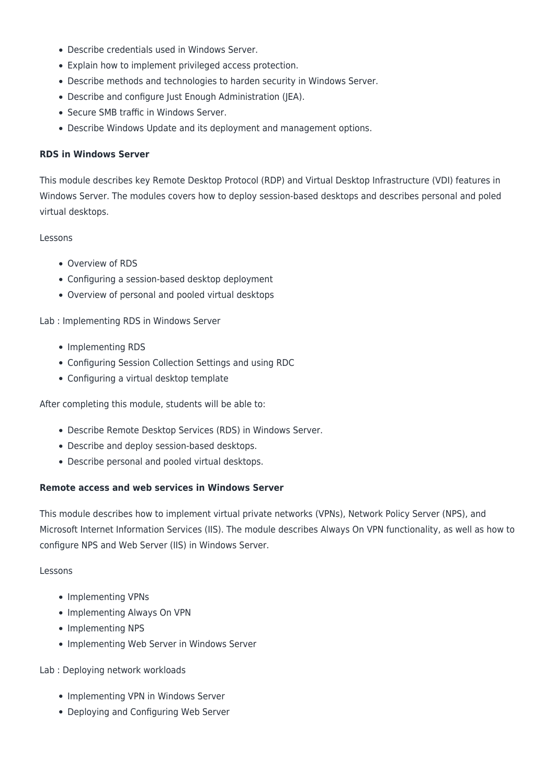- Describe credentials used in Windows Server.
- Explain how to implement privileged access protection.
- Describe methods and technologies to harden security in Windows Server.
- Describe and configure Just Enough Administration (JEA).
- Secure SMB traffic in Windows Server.
- Describe Windows Update and its deployment and management options.

#### **RDS in Windows Server**

This module describes key Remote Desktop Protocol (RDP) and Virtual Desktop Infrastructure (VDI) features in Windows Server. The modules covers how to deploy session-based desktops and describes personal and poled virtual desktops.

#### Lessons

- Overview of RDS
- Configuring a session-based desktop deployment
- Overview of personal and pooled virtual desktops

#### Lab : Implementing RDS in Windows Server

- Implementing RDS
- Configuring Session Collection Settings and using RDC
- Configuring a virtual desktop template

After completing this module, students will be able to:

- Describe Remote Desktop Services (RDS) in Windows Server.
- Describe and deploy session-based desktops.
- Describe personal and pooled virtual desktops.

#### **Remote access and web services in Windows Server**

This module describes how to implement virtual private networks (VPNs), Network Policy Server (NPS), and Microsoft Internet Information Services (IIS). The module describes Always On VPN functionality, as well as how to configure NPS and Web Server (IIS) in Windows Server.

#### Lessons

- Implementing VPNs
- Implementing Always On VPN
- Implementing NPS
- Implementing Web Server in Windows Server

#### Lab : Deploying network workloads

- Implementing VPN in Windows Server
- Deploying and Configuring Web Server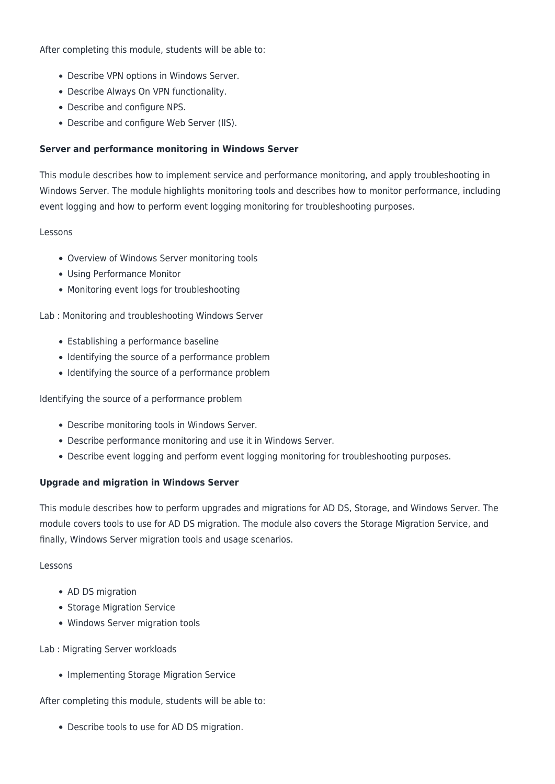After completing this module, students will be able to:

- Describe VPN options in Windows Server.
- Describe Always On VPN functionality.
- Describe and configure NPS.
- Describe and configure Web Server (IIS).

#### **Server and performance monitoring in Windows Server**

This module describes how to implement service and performance monitoring, and apply troubleshooting in Windows Server. The module highlights monitoring tools and describes how to monitor performance, including event logging and how to perform event logging monitoring for troubleshooting purposes.

#### Lessons

- Overview of Windows Server monitoring tools
- Using Performance Monitor
- Monitoring event logs for troubleshooting

Lab : Monitoring and troubleshooting Windows Server

- Establishing a performance baseline
- Identifying the source of a performance problem
- Identifying the source of a performance problem

Identifying the source of a performance problem

- Describe monitoring tools in Windows Server.
- Describe performance monitoring and use it in Windows Server.
- Describe event logging and perform event logging monitoring for troubleshooting purposes.

#### **Upgrade and migration in Windows Server**

This module describes how to perform upgrades and migrations for AD DS, Storage, and Windows Server. The module covers tools to use for AD DS migration. The module also covers the Storage Migration Service, and finally, Windows Server migration tools and usage scenarios.

#### Lessons

- AD DS migration
- Storage Migration Service
- Windows Server migration tools

#### Lab : Migrating Server workloads

• Implementing Storage Migration Service

After completing this module, students will be able to:

Describe tools to use for AD DS migration.